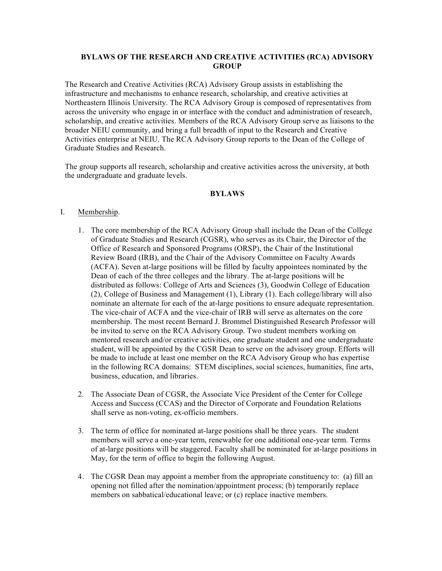### **BYLAWS OF THE RESEARCH AND CREATIVE ACTIVITIES (RCA) ADVISORY GROUP**

The Research and Creative Activities (RCA) Advisory Group assists in establishing the infrastructure and mechanisms to enhance research, scholarship, and creative activities at Northeastern Illinois University. The RCA Advisory Group is composed of representatives from across the university who engage in or interface with the conduct and administration of research, scholarship, and creative activities. Members of the RCA Advisory Group serve as liaisons to the broader NEIU community, and bring a full breadth of input to the Research and Creative Activities enterprise at NEIU. The RCA Advisory Group reports to the Dean of the College of Graduate Studies and Research.

The group supports all research, scholarship and creative activities across the university, at both the undergraduate and graduate levels.

#### **BYLAWS**

#### I. Membership.

- 1. The core membership of the RCA Advisory Group shall include the Dean of the College of Graduate Studies and Research (CGSR), who serves as its Chair, the Director of the Office of Research and Sponsored Programs (ORSP), the Chair of the Institutional Review Board (IRB), and the Chair of the Advisory Committee on Faculty Awards (ACFA). Seven at-large positions will be filled by faculty appointees nominated by the Dean of each of the three colleges and the library. The at-large positions will be distributed as follows: College of Arts and Sciences (3), Goodwin College of Education (2), College of Business and Management (1), Library (1). Each college/library will also nominate an alternate for each of the at-large positions to ensure adequate representation. The vice-chair of ACFA and the vice-chair of IRB will serve as alternates on the core membership. The most recent Bernard J. Brommel Distinguished Research Professor will be invited to serve on the RCA Advisory Group. Two student members working on mentored research and/or creative activities, one graduate student and one undergraduate student, will be appointed by the CGSR Dean to serve on the advisory group. Efforts will be made to include at least one member on the RCA Advisory Group who has expertise in the following RCA domains: STEM disciplines, social sciences, humanities, fine arts, business, education, and libraries.
- 2. The Associate Dean of CGSR, the Associate Vice President of the Center for College Access and Success (CCAS) and the Director of Corporate and Foundation Relations shall serve as non-voting, ex-officio members.
- 3. The term of office for nominated at-large positions shall be three years. The student members will serve a one-year term, renewable for one additional one-year term. Terms of at-large positions will be staggered. Faculty shall be nominated for at-large positions in May, for the term of office to begin the following August.
- 4. The CGSR Dean may appoint a member from the appropriate constituency to: (a) fill an opening not filled after the nomination/appointment process; (b) temporarily replace members on sabbatical/educational leave; or (c) replace inactive members.